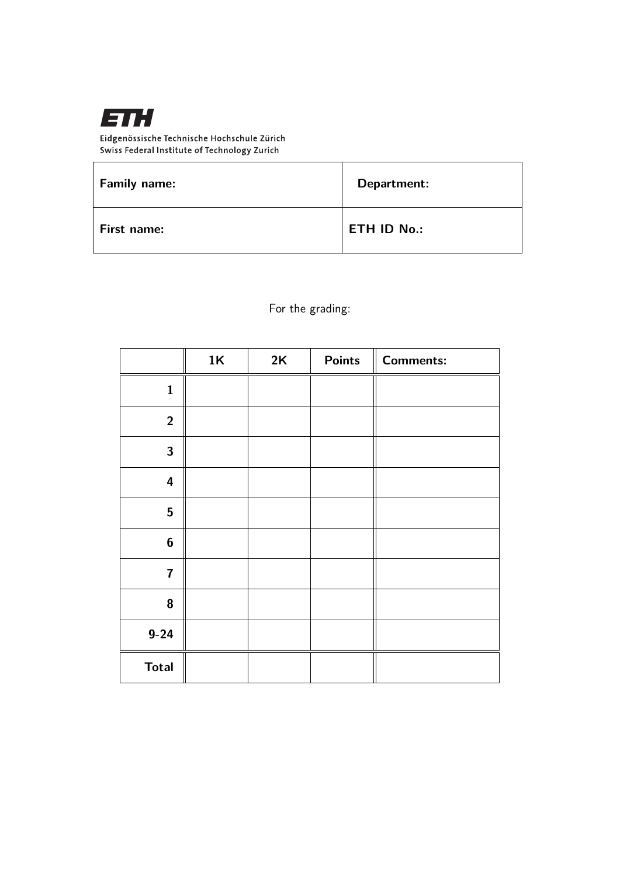

Eidgenössische Technische Hochschule Zürich Swiss Federal Institute of Technology Zurich

| <b>Family name:</b> | Department:        |
|---------------------|--------------------|
| First name:         | <b>ETH ID No.:</b> |

For the grading:

|                         | 1K | 2K | <b>Points</b> | <b>Comments:</b> |
|-------------------------|----|----|---------------|------------------|
| $\mathbf{1}$            |    |    |               |                  |
| $\overline{2}$          |    |    |               |                  |
| $\mathbf{3}$            |    |    |               |                  |
| $\overline{\mathbf{4}}$ |    |    |               |                  |
| $5\phantom{.}$          |    |    |               |                  |
| $\boldsymbol{6}$        |    |    |               |                  |
| $\overline{\mathbf{7}}$ |    |    |               |                  |
| 8                       |    |    |               |                  |
| $9 - 24$                |    |    |               |                  |
| <b>Total</b>            |    |    |               |                  |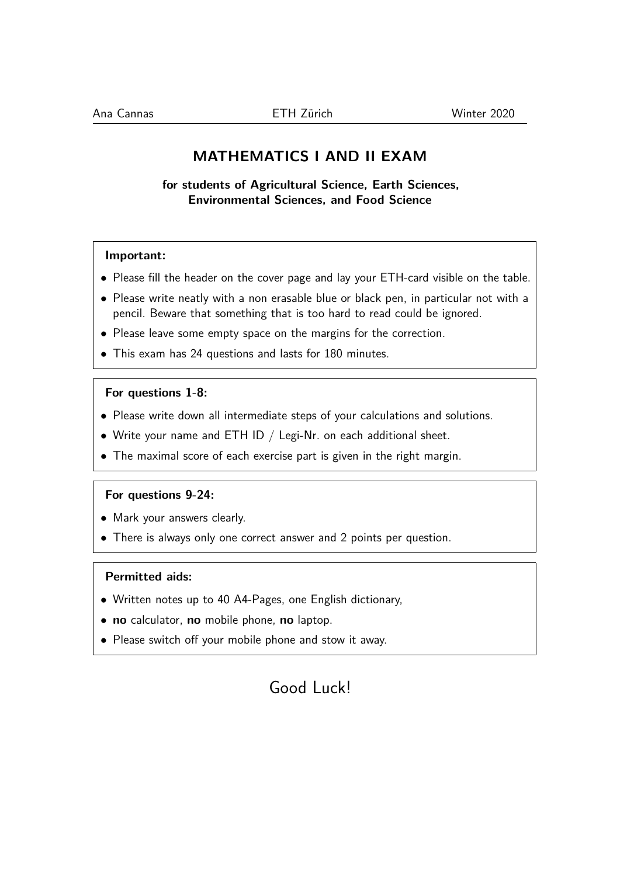## **MATHEMATICS I AND II EXAM**

**for students of Agricultural Science, Earth Sciences, Environmental Sciences, and Food Science**

### **Important:**

- Please fill the header on the cover page and lay your ETH-card visible on the table.
- Please write neatly with a non erasable blue or black pen, in particular not with a pencil. Beware that something that is too hard to read could be ignored.
- Please leave some empty space on the margins for the correction.
- This exam has 24 questions and lasts for 180 minutes.

#### **For questions 1-8:**

- Please write down all intermediate steps of your calculations and solutions.
- Write your name and ETH ID  $/$  Legi-Nr. on each additional sheet.
- The maximal score of each exercise part is given in the right margin.

#### **For questions 9-24:**

- Mark your answers clearly.
- There is always only one correct answer and 2 points per question.

#### **Permitted aids:**

- Written notes up to 40 A4-Pages, one English dictionary,
- **no** calculator, **no** mobile phone, **no** laptop.
- Please switch off your mobile phone and stow it away.

# Good Luck!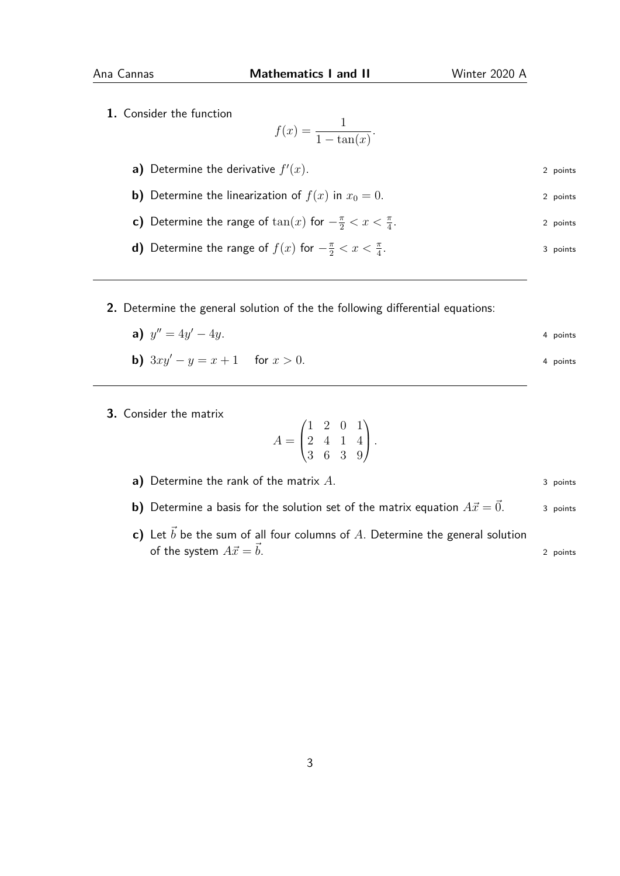**1.** Consider the function

$$
f(x) = \frac{1}{1 - \tan(x)}.
$$

- **a)** Determine the derivative  $f'$  $(x)$ . 2 points
- **b)** Determine the linearization of  $f(x)$  in  $x_0 = 0$ . 2 points
- **c)** Determine the range of  $\tan(x)$  for  $-\frac{\pi}{2} < x < \frac{\pi}{4}$ 2 points
- **d)** Determine the range of  $f(x)$  for  $-\frac{\pi}{2} < x < \frac{\pi}{4}$ . 3 points
- **2.** Determine the general solution of the the following differential equations:
	- **a)**  $y'' = 4y$  $\alpha' - 4y$ . 4 points

**b)** 
$$
3xy' - y = x + 1
$$
 for  $x > 0$ .

**3.** Consider the matrix

$$
A = \begin{pmatrix} 1 & 2 & 0 & 1 \\ 2 & 4 & 1 & 4 \\ 3 & 6 & 3 & 9 \end{pmatrix}.
$$

**a)** Determine the rank of the matrix *A*. 3 points

- **b)** Determine a basis for the solution set of the matrix equation  $A\vec{x} = \vec{0}$ . 3 points
- **c)** Let  $\vec{b}$  be the sum of all four columns of A. Determine the general solution of the system  $A\vec{x} = \vec{b}$ . 2 points

3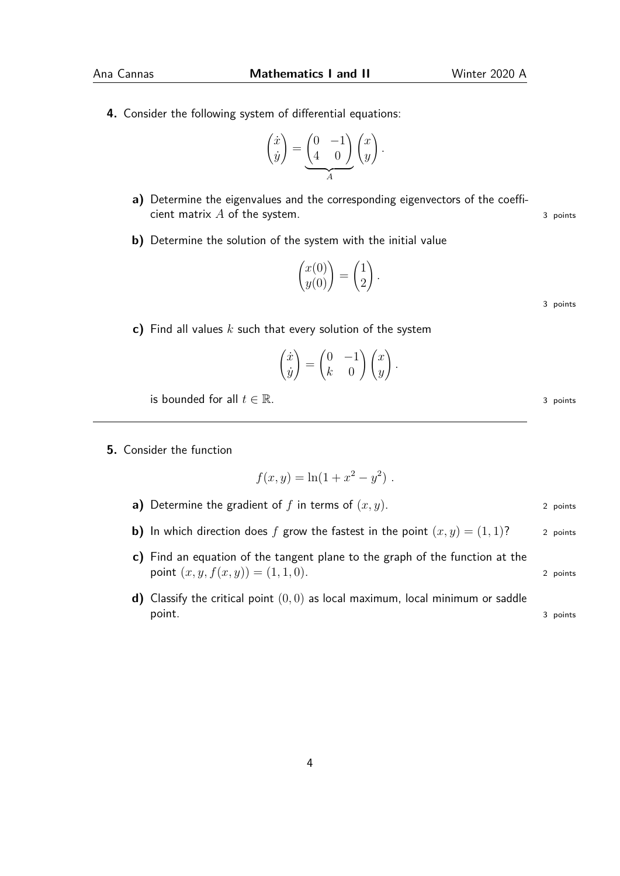**4.** Consider the following system of differential equations:

$$
\begin{pmatrix} \dot{x} \\ \dot{y} \end{pmatrix} = \underbrace{\begin{pmatrix} 0 & -1 \\ 4 & 0 \end{pmatrix}}_{A} \begin{pmatrix} x \\ y \end{pmatrix}.
$$

- **a)** Determine the eigenvalues and the corresponding eigenvectors of the coefficient matrix *A* of the system. 3 points 3 points
- **b)** Determine the solution of the system with the initial value

$$
\begin{pmatrix} x(0) \\ y(0) \end{pmatrix} = \begin{pmatrix} 1 \\ 2 \end{pmatrix}.
$$

**c)** Find all values *k* such that every solution of the system

$$
\begin{pmatrix} \dot{x} \\ \dot{y} \end{pmatrix} = \begin{pmatrix} 0 & -1 \\ k & 0 \end{pmatrix} \begin{pmatrix} x \\ y \end{pmatrix}.
$$

is bounded for all  $t \in \mathbb{R}$ . 3 points

**5.** Consider the function

$$
f(x, y) = \ln(1 + x^2 - y^2).
$$

- **a)** Determine the gradient of  $f$  in terms of  $(x, y)$ . 2 points
- **b)** In which direction does f grow the fastest in the point  $(x, y) = (1, 1)$ ? 2 points
- **c)** Find an equation of the tangent plane to the graph of the function at the **point**  $(x, y, f(x, y)) = (1, 1, 0).$  2 points
- **d)** Classify the critical point (0*,* 0) as local maximum, local minimum or saddle point. 3 points

4

3 points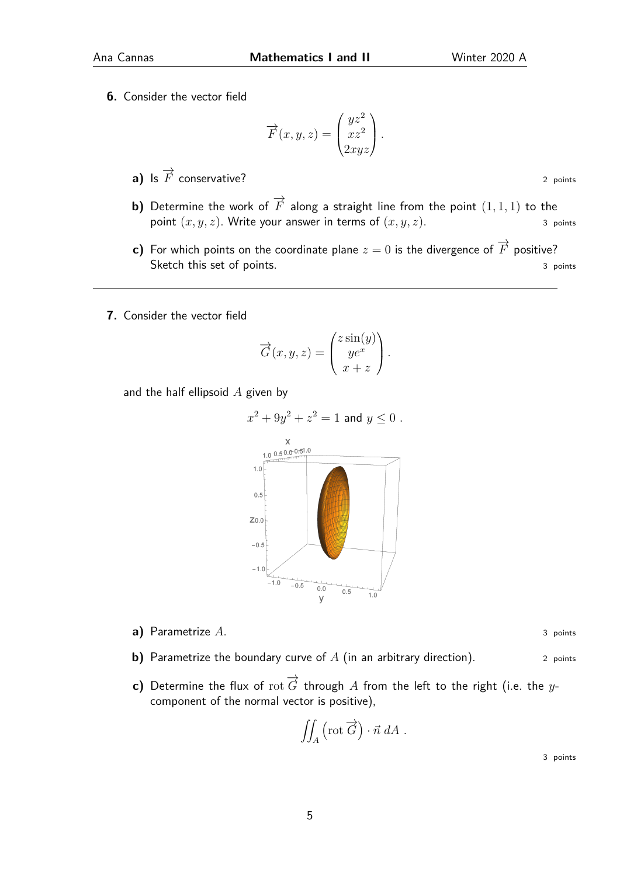**6.** Consider the vector field

$$
\overrightarrow{F}(x, y, z) = \begin{pmatrix} yz^2 \\ xz^2 \\ 2xyz \end{pmatrix}.
$$

- **a)** Is  $\overrightarrow{F}$  conservative? 2 points
- **b)** Determine the work of  $\overrightarrow{F}$  along a straight line from the point  $(1, 1, 1)$  to the point  $(x, y, z)$ . Write your answer in terms of  $(x, y, z)$ . 3 points
- **c)** For which points on the coordinate plane  $z = 0$  is the divergence of  $\overrightarrow{F}$  positive? Sketch this set of points. 3 points and  $\frac{3}{2}$  points
- **7.** Consider the vector field

$$
\overrightarrow{G}(x, y, z) = \begin{pmatrix} z \sin(y) \\ ye^x \\ x + z \end{pmatrix}.
$$

and the half ellipsoid *A* given by



**a)** Parametrize *A*. 3 points

- **b)** Parametrize the boundary curve of *A* (in an arbitrary direction). 2 points
- **c)** Determine the flux of  $\overrightarrow{G}$  through  $A$  from the left to the right (i.e. the  $y$ component of the normal vector is positive),

$$
\iint_A \left(\operatorname{rot}\overrightarrow{G}\right)\cdot \vec{n}\;dA\;.
$$

3 points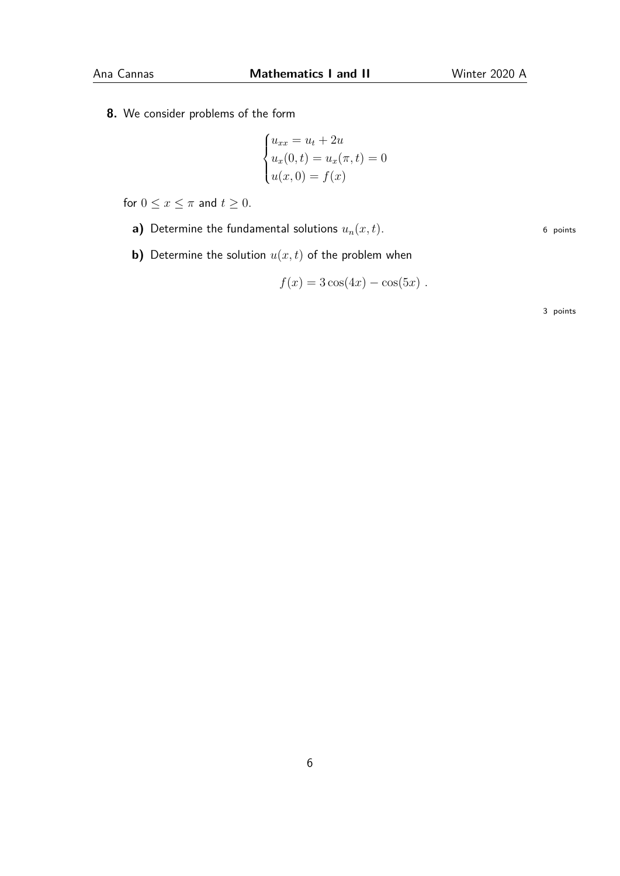**8.** We consider problems of the form

$$
\begin{cases}\nu_{xx} = u_t + 2u \\
u_x(0, t) = u_x(\pi, t) = 0 \\
u(x, 0) = f(x)\n\end{cases}
$$

for  $0 \le x \le \pi$  and  $t \ge 0$ .

- **a)** Determine the fundamental solutions  $u_n(x,t)$ . 6 points
- **b)** Determine the solution *u*(*x, t*) of the problem when

$$
f(x) = 3\cos(4x) - \cos(5x) .
$$

3 points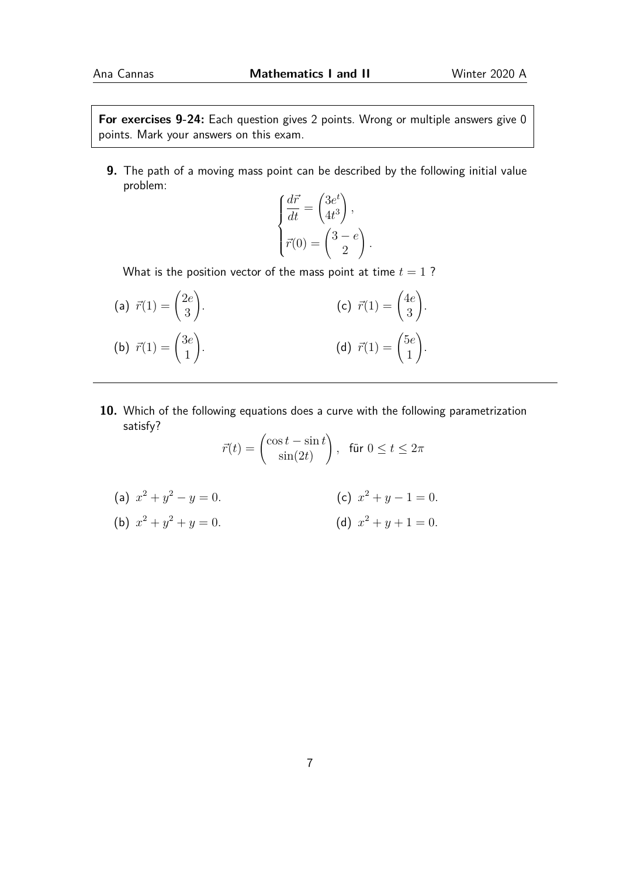**For exercises 9-24:** Each question gives 2 points. Wrong or multiple answers give 0 points. Mark your answers on this exam.

**9.** The path of a moving mass point can be described by the following initial value problem:

$$
\begin{cases}\n\frac{d\vec{r}}{dt} = \begin{pmatrix} 3e^t \\
4t^3\n\end{pmatrix}, \\
\vec{r}(0) = \begin{pmatrix} 3 - e \\
2 \end{pmatrix}.\n\end{cases}
$$

What is the position vector of the mass point at time  $t = 1$ ?

| (a) $\vec{r}(1) = \begin{pmatrix} 2e \\ 3 \end{pmatrix}$ . | (c) $\vec{r}(1) = \begin{pmatrix} 4e \\ 3 \end{pmatrix}$ . |  |
|------------------------------------------------------------|------------------------------------------------------------|--|
| (b) $\vec{r}(1) = \begin{pmatrix} 3e \\ 1 \end{pmatrix}$ . | (d) $\vec{r}(1) = \begin{pmatrix} 5e \\ 1 \end{pmatrix}$ . |  |

**10.** Which of the following equations does a curve with the following parametrization satisfy?

$$
\vec{r}(t) = \begin{pmatrix} \cos t - \sin t \\ \sin(2t) \end{pmatrix}, \text{ für } 0 \le t \le 2\pi
$$

(a) 
$$
x^2 + y^2 - y = 0
$$
.  
\n(b)  $x^2 + y^2 + y = 0$ .  
\n(c)  $x^2 + y - 1 = 0$ .  
\n(d)  $x^2 + y + 1 = 0$ .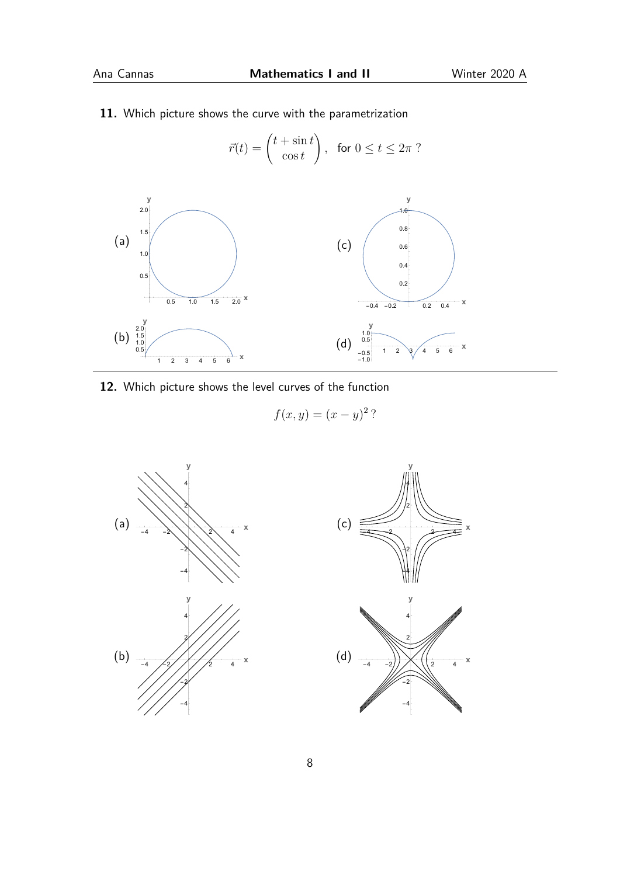**11.** Which picture shows the curve with the parametrization

$$
\vec{r}(t) = \begin{pmatrix} t + \sin t \\ \cos t \end{pmatrix}, \text{ for } 0 \le t \le 2\pi ?
$$



**12.** Which picture shows the level curves of the function

$$
f(x,y) = (x-y)^2
$$
?



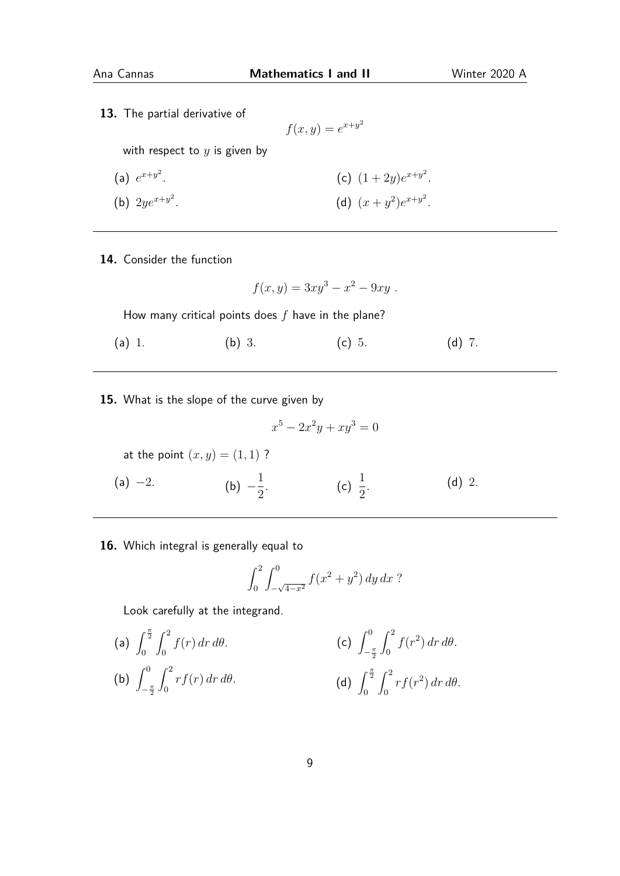**13.** The partial derivative of

$$
f(x,y) = e^{x+y^2}
$$

with respect to *y* is given by

(a) 
$$
e^{x+y^2}
$$
.  
\n(b)  $2ye^{x+y^2}$ .  
\n(c)  $(1+2y)e^{x+y^2}$ .  
\n(d)  $(x+y^2)e^{x+y^2}$ .

**14.** Consider the function

$$
f(x,y) = 3xy^3 - x^2 - 9xy.
$$

How many critical points does *f* have in the plane?

- (a) 1. (b) 3. (c) 5. (d) 7.
- **15.** What is the slope of the curve given by

$$
x^5 - 2x^2y + xy^3 = 0
$$

at the point  $(x, y) = (1, 1)$ ?

 $(a) -2.$ (b)  $-\frac{1}{2}$ 2 . (c)  $\frac{1}{2}$ 2 . (d) 2.

**16.** Which integral is generally equal to

$$
\int_0^2 \int_{-\sqrt{4-x^2}}^0 f(x^2 + y^2) \, dy \, dx ?
$$

Look carefully at the integrand.

(a) 
$$
\int_0^{\frac{\pi}{2}} \int_0^2 f(r) dr d\theta
$$
.  
\n(b)  $\int_{-\frac{\pi}{2}}^0 \int_0^2 r f(r) dr d\theta$ .  
\n(c)  $\int_{-\frac{\pi}{2}}^0 \int_0^2 f(r^2) dr d\theta$ .  
\n(d)  $\int_0^{\frac{\pi}{2}} \int_0^2 r f(r^2) dr d\theta$ .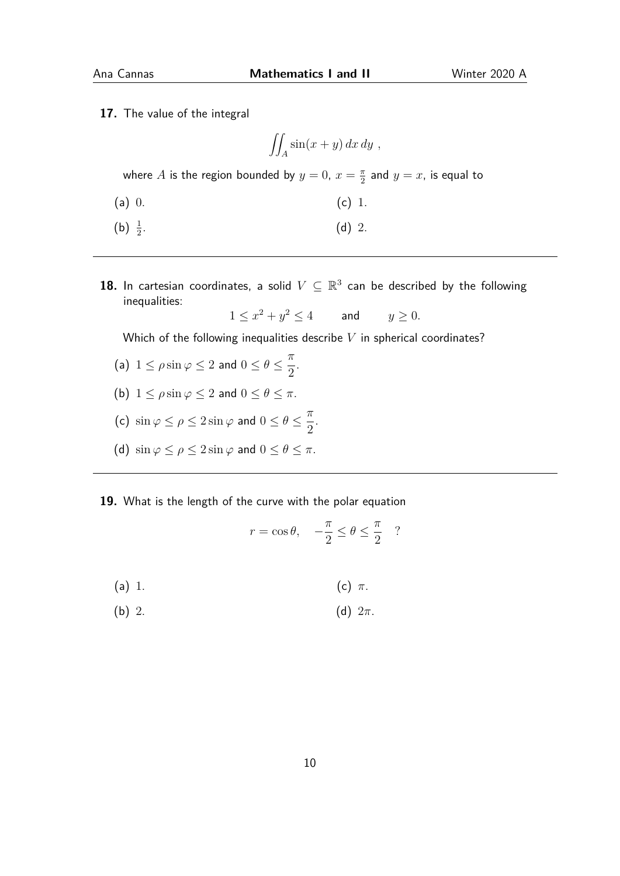**17.** The value of the integral

$$
\iint_A \sin(x+y) \, dx \, dy ,
$$

where *A* is the region bounded by  $y = 0$ ,  $x = \frac{\pi}{2}$  $\frac{\pi}{2}$  and  $y = x$ , is equal to

- (a) 0. (c) 1.
- (b)  $\frac{1}{2}$ . (d) 2.
- 18. In cartesian coordinates, a solid  $V\subseteq\mathbb{R}^3$  can be described by the following inequalities:

.

$$
1 \le x^2 + y^2 \le 4 \qquad \text{and} \qquad y \ge 0.
$$

Which of the following inequalities describe *V* in spherical coordinates?

- (a)  $1 \le \rho \sin \varphi \le 2$  and  $0 \le \theta \le \frac{\pi}{2}$ 2 .
- (b)  $1 \le \rho \sin \varphi \le 2$  and  $0 \le \theta \le \pi$ .
- (c)  $\sin \varphi \le \rho \le 2 \sin \varphi$  and  $0 \le \theta \le \frac{\pi}{2}$ 2
- (d)  $\sin \varphi \le \rho \le 2 \sin \varphi$  and  $0 \le \theta \le \pi$ .
- **19.** What is the length of the curve with the polar equation

$$
r = \cos \theta, \quad -\frac{\pi}{2} \le \theta \le \frac{\pi}{2}
$$
?

- (a) 1. (c) *π*.
- (b) 2. (d) 2*π*.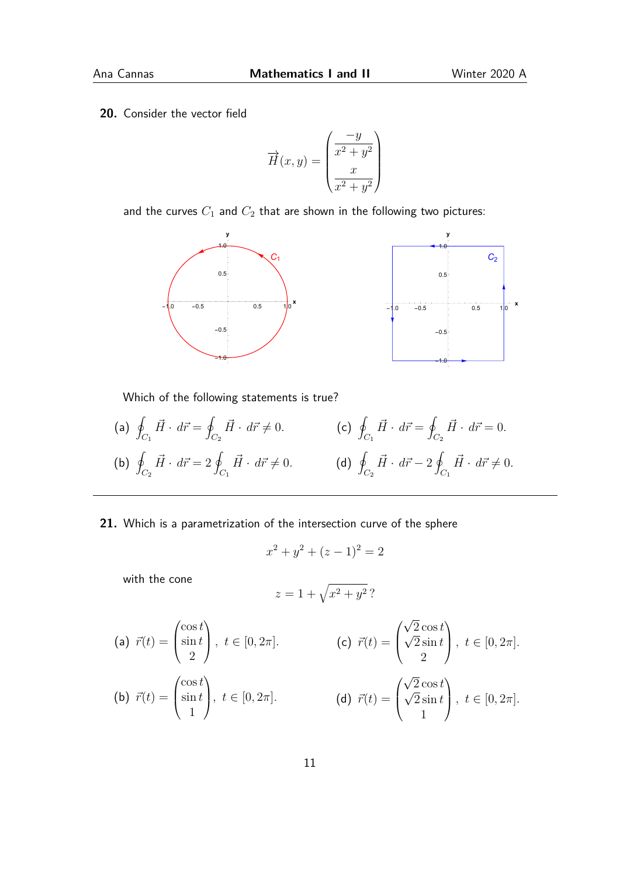**20.** Consider the vector field

$$
\overrightarrow{H}(x,y) = \begin{pmatrix} \frac{-y}{x^2 + y^2} \\ x \\ \frac{x}{x^2 + y^2} \end{pmatrix}
$$

and the curves  $C_1$  and  $C_2$  that are shown in the following two pictures:



Which of the following statements is true?

- $(a) q$ *C*<sup>1</sup>  $\vec{H} \cdot d\vec{r} = 9$ *C*<sup>2</sup>  $\vec{H} \cdot d\vec{r} \neq 0.$  (c) 9  $(b) q$ *C*<sup>2</sup>  $\vec{H} \cdot d\vec{r} = 2$  g *C*<sup>1</sup>  $\vec{H} \cdot d\vec{r} \neq 0.$  (d) 9 *C*<sup>1</sup>  $\vec{H} \cdot d\vec{r} = 9$ *C*<sup>2</sup>  $\vec{H} \cdot d\vec{r} = 0.$ *C*<sup>2</sup>  $\vec{H} \cdot d\vec{r} - 2$ *C*<sup>1</sup>  $\vec{H} \cdot d\vec{r} \neq 0.$
- **21.** Which is a parametrization of the intersection curve of the sphere

$$
x^2 + y^2 + (z - 1)^2 = 2
$$

with the cone

$$
z = 1 + \sqrt{x^2 + y^2} ?
$$

(a) 
$$
\vec{r}(t) = \begin{pmatrix} \cos t \\ \sin t \\ 2 \end{pmatrix}
$$
,  $t \in [0, 2\pi]$ .  
\n(b)  $\vec{r}(t) = \begin{pmatrix} \cos t \\ \sin t \\ 1 \end{pmatrix}$ ,  $t \in [0, 2\pi]$ .  
\n(c)  $\vec{r}(t) = \begin{pmatrix} \sqrt{2} \cos t \\ \sqrt{2} \sin t \\ 2 \end{pmatrix}$ ,  $t \in [0, 2\pi]$ .  
\n(d)  $\vec{r}(t) = \begin{pmatrix} \sqrt{2} \cos t \\ \sqrt{2} \sin t \\ 1 \end{pmatrix}$ ,  $t \in [0, 2\pi]$ .